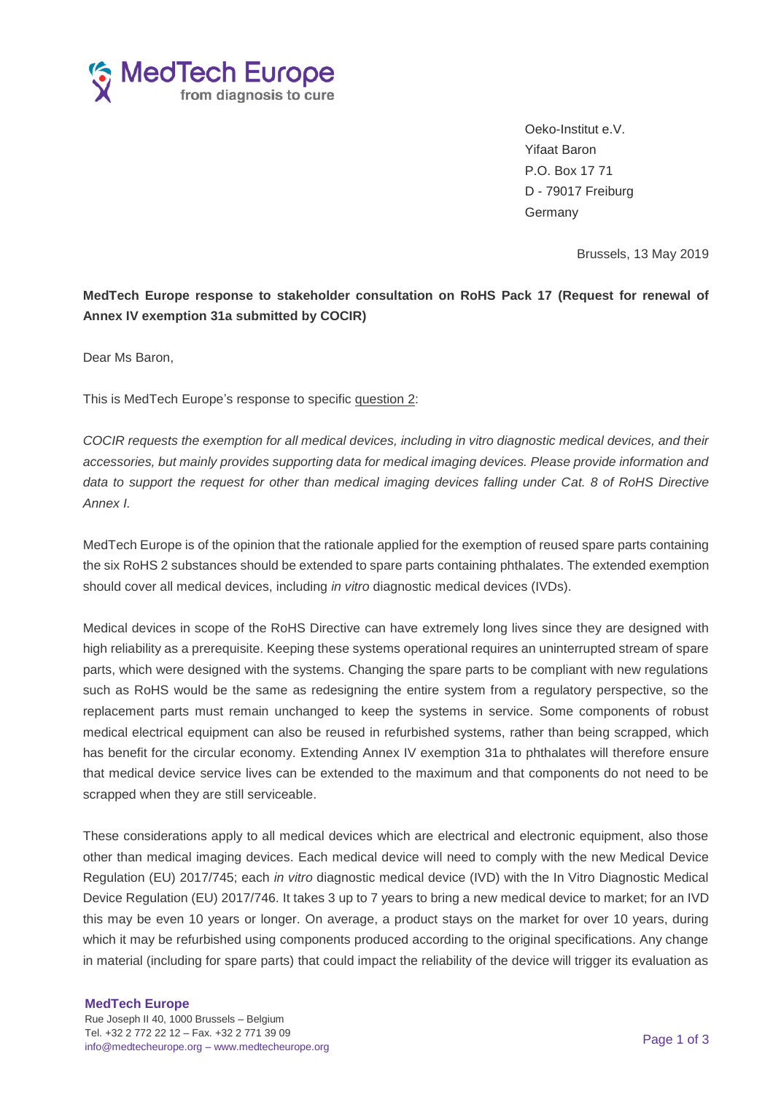

Oeko-Institut e.V. Yifaat Baron P.O. Box 17 71 D - 79017 Freiburg Germany

Brussels, 13 May 2019

## **MedTech Europe response to stakeholder consultation on RoHS Pack 17 (Request for renewal of Annex IV exemption 31a submitted by COCIR)**

Dear Ms Baron,

This is MedTech Europe's response to specific question 2:

*COCIR requests the exemption for all medical devices, including in vitro diagnostic medical devices, and their accessories, but mainly provides supporting data for medical imaging devices. Please provide information and data to support the request for other than medical imaging devices falling under Cat. 8 of RoHS Directive Annex I.*

MedTech Europe is of the opinion that the rationale applied for the exemption of reused spare parts containing the six RoHS 2 substances should be extended to spare parts containing phthalates. The extended exemption should cover all medical devices, including *in vitro* diagnostic medical devices (IVDs).

Medical devices in scope of the RoHS Directive can have extremely long lives since they are designed with high reliability as a prerequisite. Keeping these systems operational requires an uninterrupted stream of spare parts, which were designed with the systems. Changing the spare parts to be compliant with new regulations such as RoHS would be the same as redesigning the entire system from a regulatory perspective, so the replacement parts must remain unchanged to keep the systems in service. Some components of robust medical electrical equipment can also be reused in refurbished systems, rather than being scrapped, which has benefit for the circular economy. Extending Annex IV exemption 31a to phthalates will therefore ensure that medical device service lives can be extended to the maximum and that components do not need to be scrapped when they are still serviceable.

These considerations apply to all medical devices which are electrical and electronic equipment, also those other than medical imaging devices. Each medical device will need to comply with the new Medical Device Regulation (EU) 2017/745; each *in vitro* diagnostic medical device (IVD) with the In Vitro Diagnostic Medical Device Regulation (EU) 2017/746. It takes 3 up to 7 years to bring a new medical device to market; for an IVD this may be even 10 years or longer. On average, a product stays on the market for over 10 years, during which it may be refurbished using components produced according to the original specifications. Any change in material (including for spare parts) that could impact the reliability of the device will trigger its evaluation as

#### **MedTech Europe**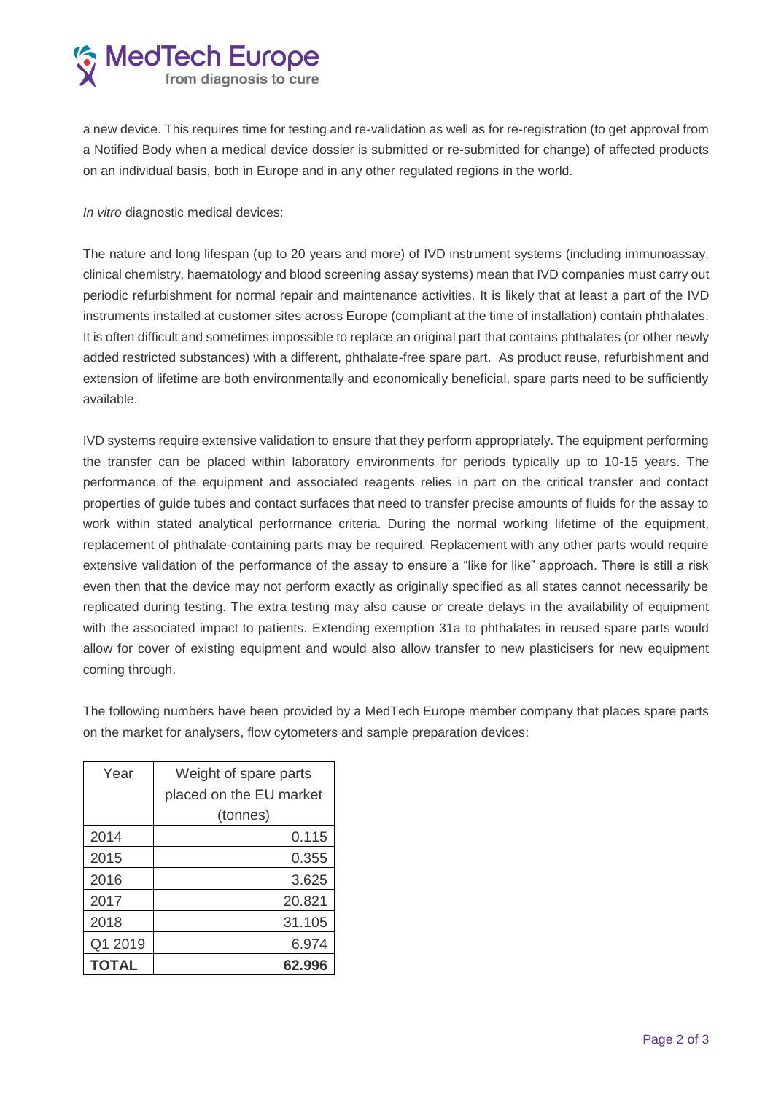# **S** MedTech Europe

a new device. This requires time for testing and re-validation as well as for re-registration (to get approval from a Notified Body when a medical device dossier is submitted or re-submitted for change) of affected products on an individual basis, both in Europe and in any other regulated regions in the world.

*In vitro* diagnostic medical devices:

The nature and long lifespan (up to 20 years and more) of IVD instrument systems (including immunoassay, clinical chemistry, haematology and blood screening assay systems) mean that IVD companies must carry out periodic refurbishment for normal repair and maintenance activities. It is likely that at least a part of the IVD instruments installed at customer sites across Europe (compliant at the time of installation) contain phthalates. It is often difficult and sometimes impossible to replace an original part that contains phthalates (or other newly added restricted substances) with a different, phthalate-free spare part. As product reuse, refurbishment and extension of lifetime are both environmentally and economically beneficial, spare parts need to be sufficiently available.

IVD systems require extensive validation to ensure that they perform appropriately. The equipment performing the transfer can be placed within laboratory environments for periods typically up to 10-15 years. The performance of the equipment and associated reagents relies in part on the critical transfer and contact properties of guide tubes and contact surfaces that need to transfer precise amounts of fluids for the assay to work within stated analytical performance criteria. During the normal working lifetime of the equipment, replacement of phthalate-containing parts may be required. Replacement with any other parts would require extensive validation of the performance of the assay to ensure a "like for like" approach. There is still a risk even then that the device may not perform exactly as originally specified as all states cannot necessarily be replicated during testing. The extra testing may also cause or create delays in the availability of equipment with the associated impact to patients. Extending exemption 31a to phthalates in reused spare parts would allow for cover of existing equipment and would also allow transfer to new plasticisers for new equipment coming through.

The following numbers have been provided by a MedTech Europe member company that places spare parts on the market for analysers, flow cytometers and sample preparation devices:

| Year    | Weight of spare parts   |
|---------|-------------------------|
|         | placed on the EU market |
|         | (tonnes)                |
| 2014    | 0.115                   |
| 2015    | 0.355                   |
| 2016    | 3.625                   |
| 2017    | 20.821                  |
| 2018    | 31.105                  |
| Q1 2019 | 6.974                   |
| TOTAL   | 62.996                  |